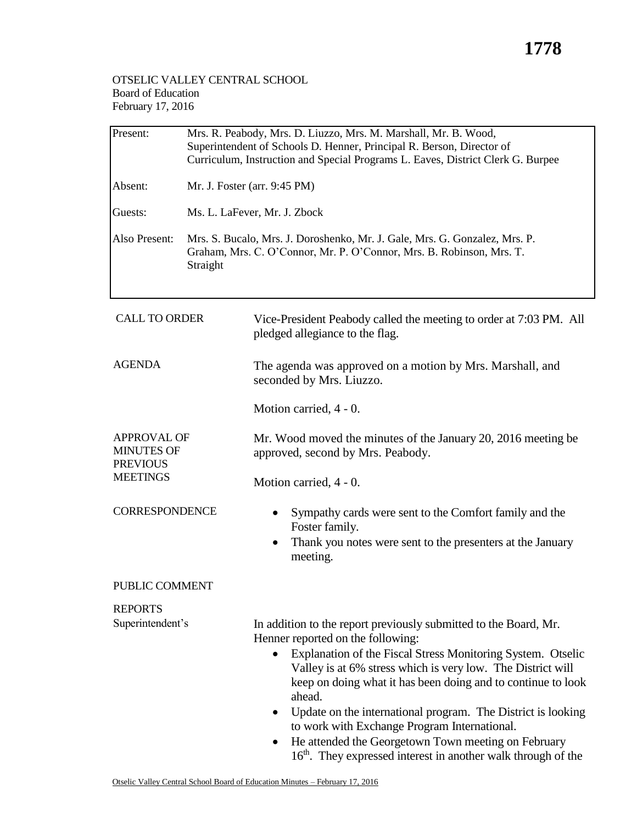## OTSELIC VALLEY CENTRAL SCHOOL Board of Education February 17, 2016

| Present:                                                                      | Mrs. R. Peabody, Mrs. D. Liuzzo, Mrs. M. Marshall, Mr. B. Wood,<br>Superintendent of Schools D. Henner, Principal R. Berson, Director of<br>Curriculum, Instruction and Special Programs L. Eaves, District Clerk G. Burpee |                                                                                                                                                                                                                                                                                                                                                                                                                                                                                                                                                                                             |  |  |
|-------------------------------------------------------------------------------|-----------------------------------------------------------------------------------------------------------------------------------------------------------------------------------------------------------------------------|---------------------------------------------------------------------------------------------------------------------------------------------------------------------------------------------------------------------------------------------------------------------------------------------------------------------------------------------------------------------------------------------------------------------------------------------------------------------------------------------------------------------------------------------------------------------------------------------|--|--|
| Absent:                                                                       | Mr. J. Foster (arr. 9:45 PM)                                                                                                                                                                                                |                                                                                                                                                                                                                                                                                                                                                                                                                                                                                                                                                                                             |  |  |
| Guests:                                                                       | Ms. L. LaFever, Mr. J. Zbock                                                                                                                                                                                                |                                                                                                                                                                                                                                                                                                                                                                                                                                                                                                                                                                                             |  |  |
| Also Present:                                                                 | Mrs. S. Bucalo, Mrs. J. Doroshenko, Mr. J. Gale, Mrs. G. Gonzalez, Mrs. P.<br>Graham, Mrs. C. O'Connor, Mr. P. O'Connor, Mrs. B. Robinson, Mrs. T.<br>Straight                                                              |                                                                                                                                                                                                                                                                                                                                                                                                                                                                                                                                                                                             |  |  |
| <b>CALL TO ORDER</b>                                                          |                                                                                                                                                                                                                             | Vice-President Peabody called the meeting to order at 7:03 PM. All<br>pledged allegiance to the flag.                                                                                                                                                                                                                                                                                                                                                                                                                                                                                       |  |  |
| <b>AGENDA</b>                                                                 |                                                                                                                                                                                                                             | The agenda was approved on a motion by Mrs. Marshall, and<br>seconded by Mrs. Liuzzo.                                                                                                                                                                                                                                                                                                                                                                                                                                                                                                       |  |  |
|                                                                               |                                                                                                                                                                                                                             | Motion carried, 4 - 0.                                                                                                                                                                                                                                                                                                                                                                                                                                                                                                                                                                      |  |  |
| <b>APPROVAL OF</b><br><b>MINUTES OF</b><br><b>PREVIOUS</b><br><b>MEETINGS</b> |                                                                                                                                                                                                                             | Mr. Wood moved the minutes of the January 20, 2016 meeting be<br>approved, second by Mrs. Peabody.                                                                                                                                                                                                                                                                                                                                                                                                                                                                                          |  |  |
|                                                                               |                                                                                                                                                                                                                             | Motion carried, 4 - 0.                                                                                                                                                                                                                                                                                                                                                                                                                                                                                                                                                                      |  |  |
| <b>CORRESPONDENCE</b>                                                         |                                                                                                                                                                                                                             | Sympathy cards were sent to the Comfort family and the<br>$\bullet$<br>Foster family.<br>Thank you notes were sent to the presenters at the January<br>$\bullet$                                                                                                                                                                                                                                                                                                                                                                                                                            |  |  |
|                                                                               |                                                                                                                                                                                                                             | meeting.                                                                                                                                                                                                                                                                                                                                                                                                                                                                                                                                                                                    |  |  |
| PUBLIC COMMENT                                                                |                                                                                                                                                                                                                             |                                                                                                                                                                                                                                                                                                                                                                                                                                                                                                                                                                                             |  |  |
| <b>REPORTS</b>                                                                |                                                                                                                                                                                                                             |                                                                                                                                                                                                                                                                                                                                                                                                                                                                                                                                                                                             |  |  |
| Superintendent's                                                              |                                                                                                                                                                                                                             | In addition to the report previously submitted to the Board, Mr.<br>Henner reported on the following:<br>Explanation of the Fiscal Stress Monitoring System. Otselic<br>$\bullet$<br>Valley is at 6% stress which is very low. The District will<br>keep on doing what it has been doing and to continue to look<br>ahead.<br>Update on the international program. The District is looking<br>$\bullet$<br>to work with Exchange Program International.<br>He attended the Georgetown Town meeting on February<br>16 <sup>th</sup> . They expressed interest in another walk through of the |  |  |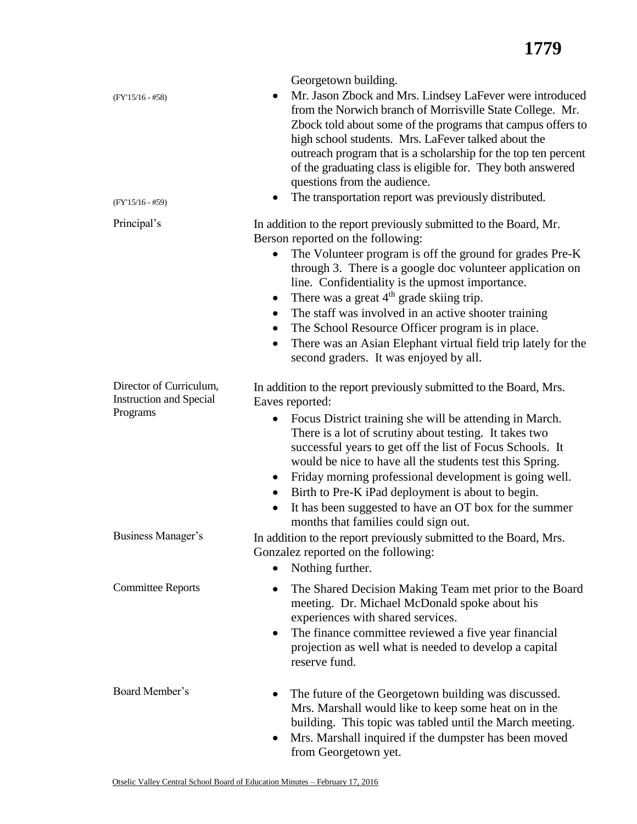| $(FY'15/16 - #58)$<br>$(FY'15/16 - #59)$                              | Georgetown building.<br>Mr. Jason Zbock and Mrs. Lindsey LaFever were introduced<br>$\bullet$<br>from the Norwich branch of Morrisville State College. Mr.<br>Zbock told about some of the programs that campus offers to<br>high school students. Mrs. LaFever talked about the<br>outreach program that is a scholarship for the top ten percent<br>of the graduating class is eligible for. They both answered<br>questions from the audience.<br>The transportation report was previously distributed.                                                                                                        |  |
|-----------------------------------------------------------------------|-------------------------------------------------------------------------------------------------------------------------------------------------------------------------------------------------------------------------------------------------------------------------------------------------------------------------------------------------------------------------------------------------------------------------------------------------------------------------------------------------------------------------------------------------------------------------------------------------------------------|--|
| Principal's                                                           | In addition to the report previously submitted to the Board, Mr.<br>Berson reported on the following:<br>The Volunteer program is off the ground for grades Pre-K<br>٠<br>through 3. There is a google doc volunteer application on<br>line. Confidentiality is the upmost importance.<br>There was a great 4 <sup>th</sup> grade skiing trip.<br>$\bullet$<br>The staff was involved in an active shooter training<br>٠<br>The School Resource Officer program is in place.<br>$\bullet$<br>There was an Asian Elephant virtual field trip lately for the<br>$\bullet$<br>second graders. It was enjoyed by all. |  |
| Director of Curriculum,<br><b>Instruction and Special</b><br>Programs | In addition to the report previously submitted to the Board, Mrs.<br>Eaves reported:<br>Focus District training she will be attending in March.<br>$\bullet$<br>There is a lot of scrutiny about testing. It takes two<br>successful years to get off the list of Focus Schools. It<br>would be nice to have all the students test this Spring.<br>Friday morning professional development is going well.<br>$\bullet$<br>Birth to Pre-K iPad deployment is about to begin.<br>$\bullet$<br>It has been suggested to have an OT box for the summer<br>$\bullet$<br>months that families could sign out.           |  |
| Business Manager's                                                    | In addition to the report previously submitted to the Board, Mrs.<br>Gonzalez reported on the following:<br>Nothing further.<br>$\bullet$                                                                                                                                                                                                                                                                                                                                                                                                                                                                         |  |
| <b>Committee Reports</b>                                              | The Shared Decision Making Team met prior to the Board<br>$\bullet$<br>meeting. Dr. Michael McDonald spoke about his<br>experiences with shared services.<br>The finance committee reviewed a five year financial<br>$\bullet$<br>projection as well what is needed to develop a capital<br>reserve fund.                                                                                                                                                                                                                                                                                                         |  |
| Board Member's                                                        | The future of the Georgetown building was discussed.<br>Mrs. Marshall would like to keep some heat on in the<br>building. This topic was tabled until the March meeting.<br>Mrs. Marshall inquired if the dumpster has been moved<br>$\bullet$<br>from Georgetown yet.                                                                                                                                                                                                                                                                                                                                            |  |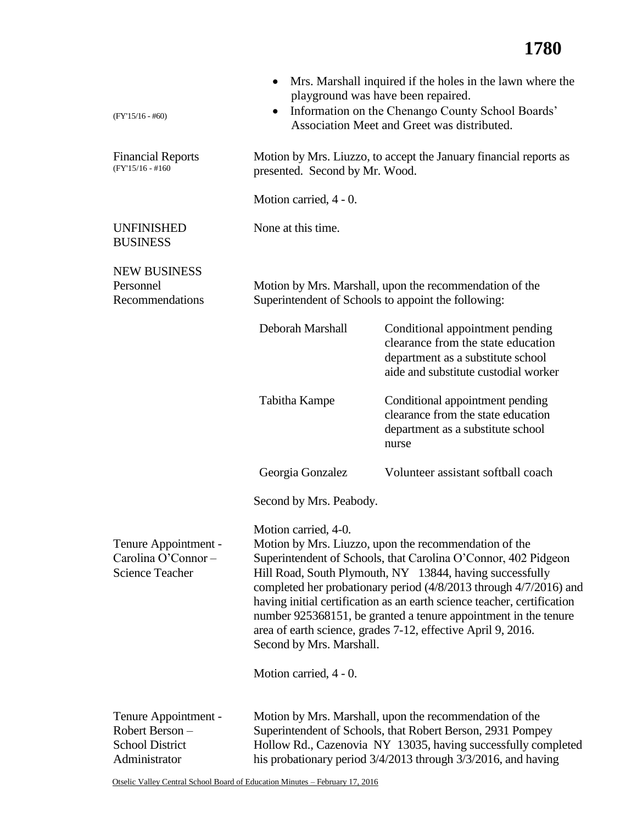| $(FY'15/16 - #60)$                                                                | $\bullet$<br>٠                                                                                                                                                                                                                                                                                                                                                                                                                                                                                                             | Mrs. Marshall inquired if the holes in the lawn where the<br>playground was have been repaired.<br>Information on the Chenango County School Boards'<br>Association Meet and Greet was distributed. |
|-----------------------------------------------------------------------------------|----------------------------------------------------------------------------------------------------------------------------------------------------------------------------------------------------------------------------------------------------------------------------------------------------------------------------------------------------------------------------------------------------------------------------------------------------------------------------------------------------------------------------|-----------------------------------------------------------------------------------------------------------------------------------------------------------------------------------------------------|
| <b>Financial Reports</b><br>$(FY'15/16 - #160)$                                   | presented. Second by Mr. Wood.                                                                                                                                                                                                                                                                                                                                                                                                                                                                                             | Motion by Mrs. Liuzzo, to accept the January financial reports as                                                                                                                                   |
|                                                                                   | Motion carried, 4 - 0.                                                                                                                                                                                                                                                                                                                                                                                                                                                                                                     |                                                                                                                                                                                                     |
| <b>UNFINISHED</b><br><b>BUSINESS</b>                                              | None at this time.                                                                                                                                                                                                                                                                                                                                                                                                                                                                                                         |                                                                                                                                                                                                     |
| <b>NEW BUSINESS</b><br>Personnel<br>Recommendations                               | Motion by Mrs. Marshall, upon the recommendation of the<br>Superintendent of Schools to appoint the following:                                                                                                                                                                                                                                                                                                                                                                                                             |                                                                                                                                                                                                     |
|                                                                                   | Deborah Marshall                                                                                                                                                                                                                                                                                                                                                                                                                                                                                                           | Conditional appointment pending<br>clearance from the state education<br>department as a substitute school<br>aide and substitute custodial worker                                                  |
|                                                                                   | Tabitha Kampe                                                                                                                                                                                                                                                                                                                                                                                                                                                                                                              | Conditional appointment pending<br>clearance from the state education<br>department as a substitute school<br>nurse                                                                                 |
|                                                                                   | Georgia Gonzalez                                                                                                                                                                                                                                                                                                                                                                                                                                                                                                           | Volunteer assistant softball coach                                                                                                                                                                  |
|                                                                                   | Second by Mrs. Peabody.                                                                                                                                                                                                                                                                                                                                                                                                                                                                                                    |                                                                                                                                                                                                     |
| Tenure Appointment -<br>Carolina O'Connor-<br><b>Science Teacher</b>              | Motion carried, 4-0.<br>Motion by Mrs. Liuzzo, upon the recommendation of the<br>Superintendent of Schools, that Carolina O'Connor, 402 Pidgeon<br>Hill Road, South Plymouth, NY 13844, having successfully<br>completed her probationary period (4/8/2013 through 4/7/2016) and<br>having initial certification as an earth science teacher, certification<br>number 925368151, be granted a tenure appointment in the tenure<br>area of earth science, grades 7-12, effective April 9, 2016.<br>Second by Mrs. Marshall. |                                                                                                                                                                                                     |
|                                                                                   | Motion carried, 4 - 0.                                                                                                                                                                                                                                                                                                                                                                                                                                                                                                     |                                                                                                                                                                                                     |
| Tenure Appointment -<br>Robert Berson-<br><b>School District</b><br>Administrator | Motion by Mrs. Marshall, upon the recommendation of the<br>Superintendent of Schools, that Robert Berson, 2931 Pompey<br>Hollow Rd., Cazenovia NY 13035, having successfully completed<br>his probationary period 3/4/2013 through 3/3/2016, and having                                                                                                                                                                                                                                                                    |                                                                                                                                                                                                     |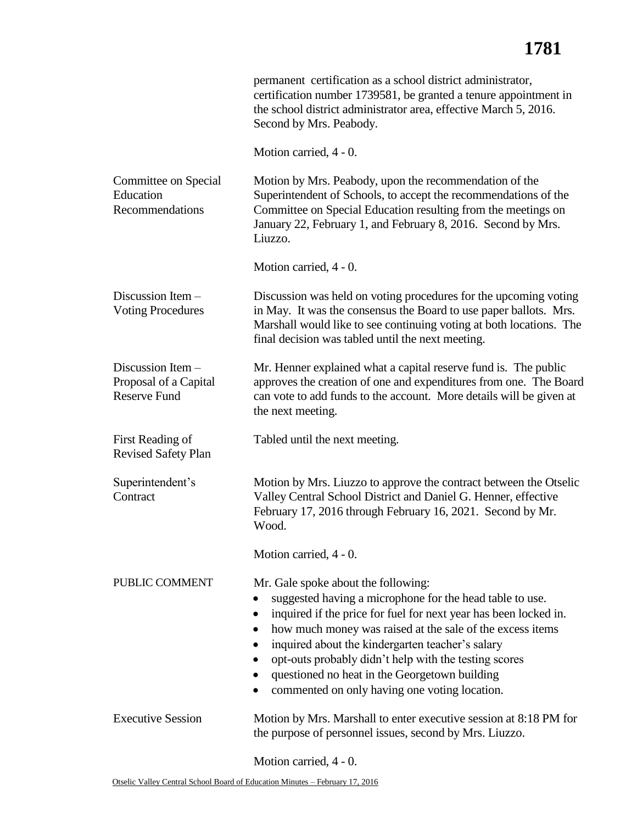## **1781**

|                                                                   | permanent certification as a school district administrator,<br>certification number 1739581, be granted a tenure appointment in<br>the school district administrator area, effective March 5, 2016.<br>Second by Mrs. Peabody.                                                                                                                                                                                                                               |
|-------------------------------------------------------------------|--------------------------------------------------------------------------------------------------------------------------------------------------------------------------------------------------------------------------------------------------------------------------------------------------------------------------------------------------------------------------------------------------------------------------------------------------------------|
|                                                                   | Motion carried, 4 - 0.                                                                                                                                                                                                                                                                                                                                                                                                                                       |
| Committee on Special<br>Education<br>Recommendations              | Motion by Mrs. Peabody, upon the recommendation of the<br>Superintendent of Schools, to accept the recommendations of the<br>Committee on Special Education resulting from the meetings on<br>January 22, February 1, and February 8, 2016. Second by Mrs.<br>Liuzzo.                                                                                                                                                                                        |
|                                                                   | Motion carried, 4 - 0.                                                                                                                                                                                                                                                                                                                                                                                                                                       |
| Discussion Item $-$<br><b>Voting Procedures</b>                   | Discussion was held on voting procedures for the upcoming voting<br>in May. It was the consensus the Board to use paper ballots. Mrs.<br>Marshall would like to see continuing voting at both locations. The<br>final decision was tabled until the next meeting.                                                                                                                                                                                            |
| Discussion Item -<br>Proposal of a Capital<br><b>Reserve Fund</b> | Mr. Henner explained what a capital reserve fund is. The public<br>approves the creation of one and expenditures from one. The Board<br>can vote to add funds to the account. More details will be given at<br>the next meeting.                                                                                                                                                                                                                             |
| First Reading of<br><b>Revised Safety Plan</b>                    | Tabled until the next meeting.                                                                                                                                                                                                                                                                                                                                                                                                                               |
| Superintendent's<br>Contract                                      | Motion by Mrs. Liuzzo to approve the contract between the Otselic<br>Valley Central School District and Daniel G. Henner, effective<br>February 17, 2016 through February 16, 2021. Second by Mr.<br>Wood.                                                                                                                                                                                                                                                   |
|                                                                   | Motion carried, 4 - 0.                                                                                                                                                                                                                                                                                                                                                                                                                                       |
| PUBLIC COMMENT                                                    | Mr. Gale spoke about the following:<br>suggested having a microphone for the head table to use.<br>inquired if the price for fuel for next year has been locked in.<br>$\bullet$<br>how much money was raised at the sale of the excess items<br>inquired about the kindergarten teacher's salary<br>opt-outs probably didn't help with the testing scores<br>questioned no heat in the Georgetown building<br>commented on only having one voting location. |
| <b>Executive Session</b>                                          | Motion by Mrs. Marshall to enter executive session at 8:18 PM for<br>the purpose of personnel issues, second by Mrs. Liuzzo.                                                                                                                                                                                                                                                                                                                                 |

Motion carried, 4 - 0.